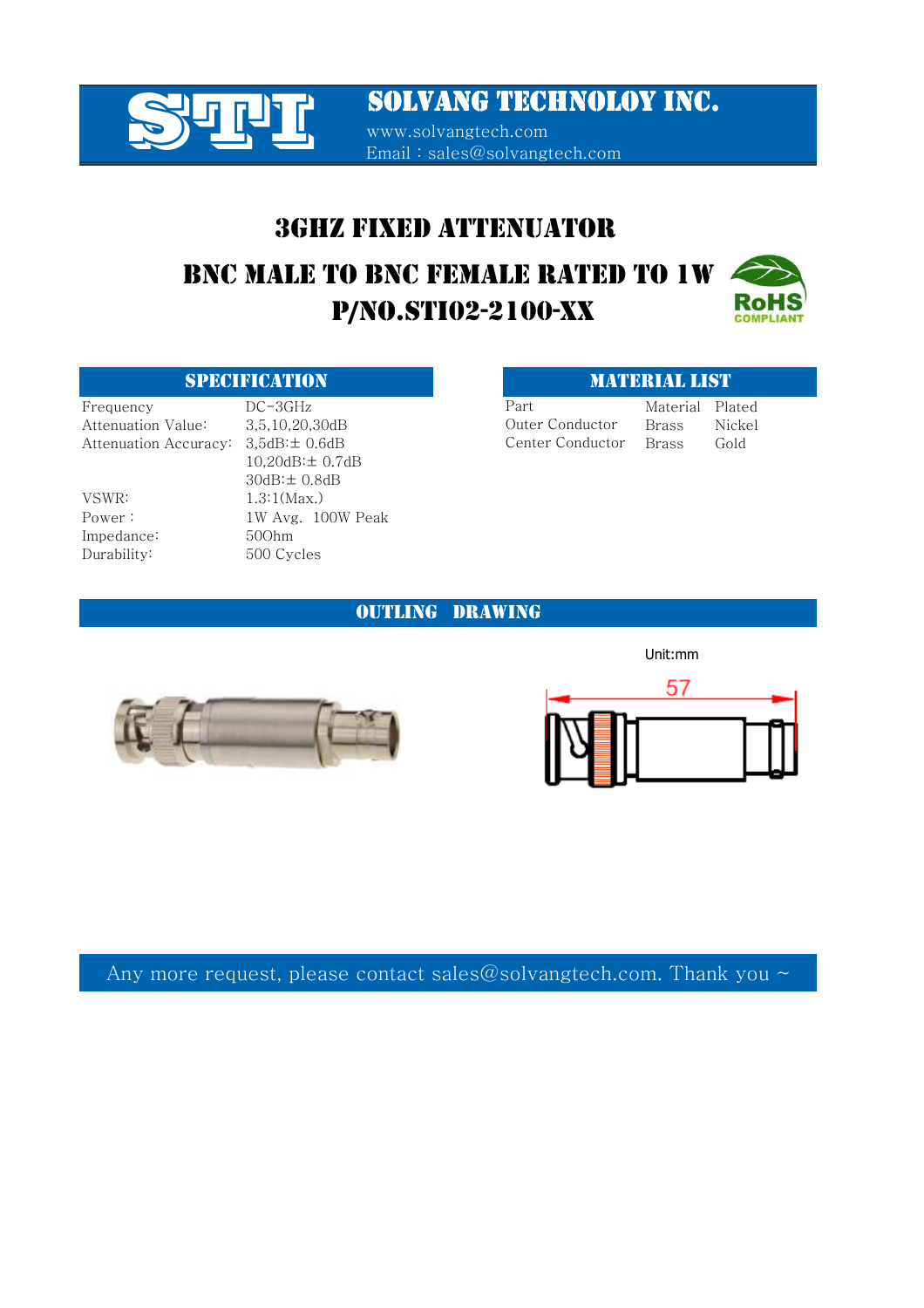

www.solvangtech.com Email : sales@solvangtech.com

## 3GHZ FIXED ATTENUATOR

# P/NO.STI02-2100-XX BNC MALE TO BNC FEMALE RATED TO 1W



### SPECIFICATION **MATERIAL LIST**

Impedance: 50Ohm

Frequency DC-3GHz Part Material Plated Attenuation Value: 3,5,10,20,30dB Brass Nickel Attenuation Accuracy:  $3,5dB: \pm 0.6dB$  Center Conductor Brass Gold 10,20dB:± 0.7dB 30dB:± 0.8dB VSWR: 1.3:1(Max.) Power: 1W Avg. 100W Peak Durability: 500 Cycles

Outer Conductor Center Conductor Part

OUTLING DRAWING





Unit:mm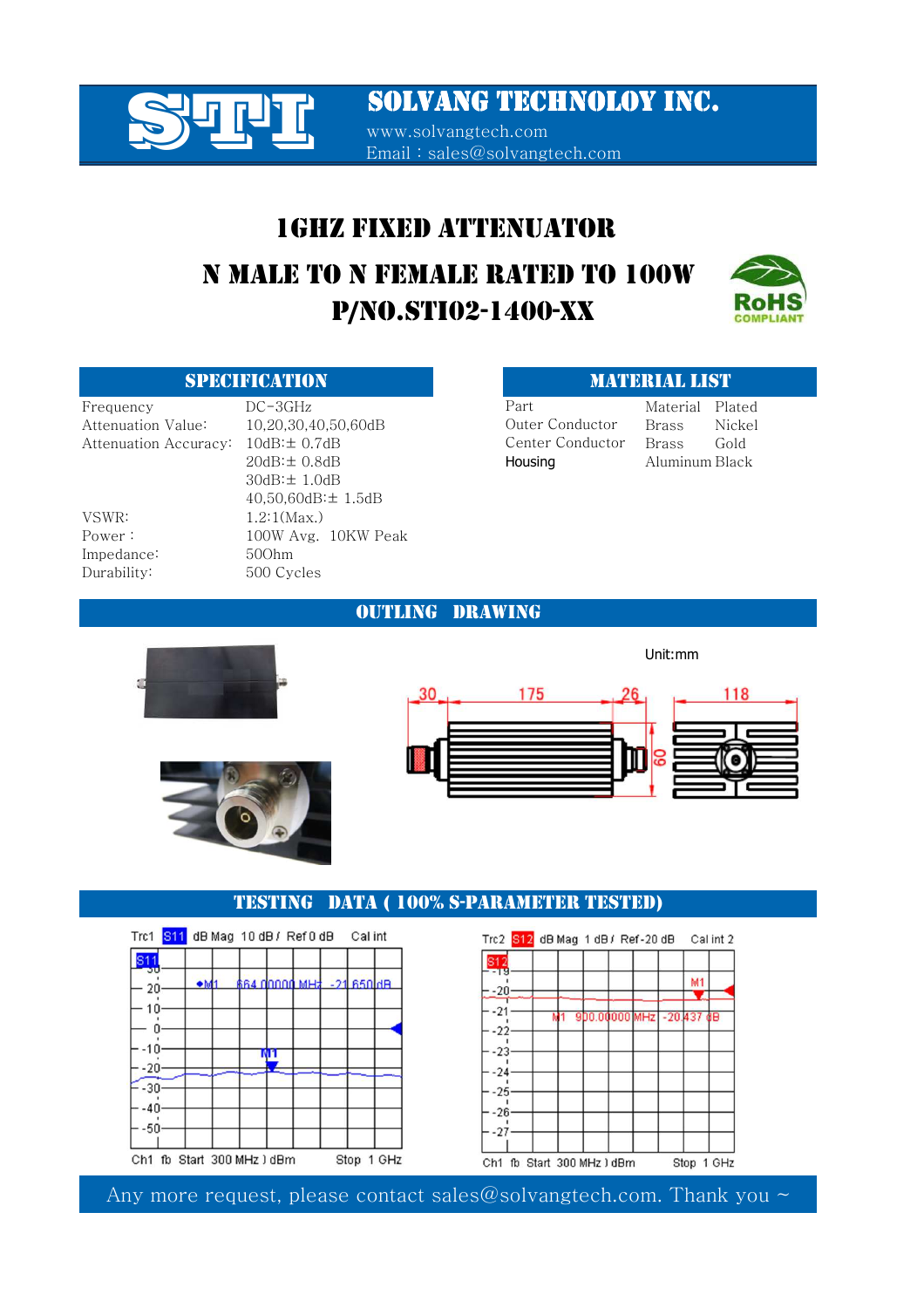www.solvangtech.com Email : sales@solvangtech.com

# 1GHZ FIXED ATTENUATOR P/NO.STI02-1400-XX N MALE TO N FEMALE RATED TO 100W



VSWR: 1.2:1(Max.) Impedance: 50Ohm

Frequency DC-3GHz Part Material Plated Attenuation Value: 10,20,30,40,50,60dB Brass Nickel Attenuation Accuracy:  $10dB:± 0.7dB$  Center Conductor Brass Gold 20dB:± 0.8dB Housing Aluminum Black 30dB:± 1.0dB 40,50,60dB:± 1.5dB Power : 100W Avg. 10KW Peak Durability: 500 Cycles

## SPECIFICATION MATERIAL LIST

Unit:mm

Outer Conductor Center Conductor Part

### OUTLING DRAWING







## TESTING DATA ( 100% S-PARAMETER TESTED)



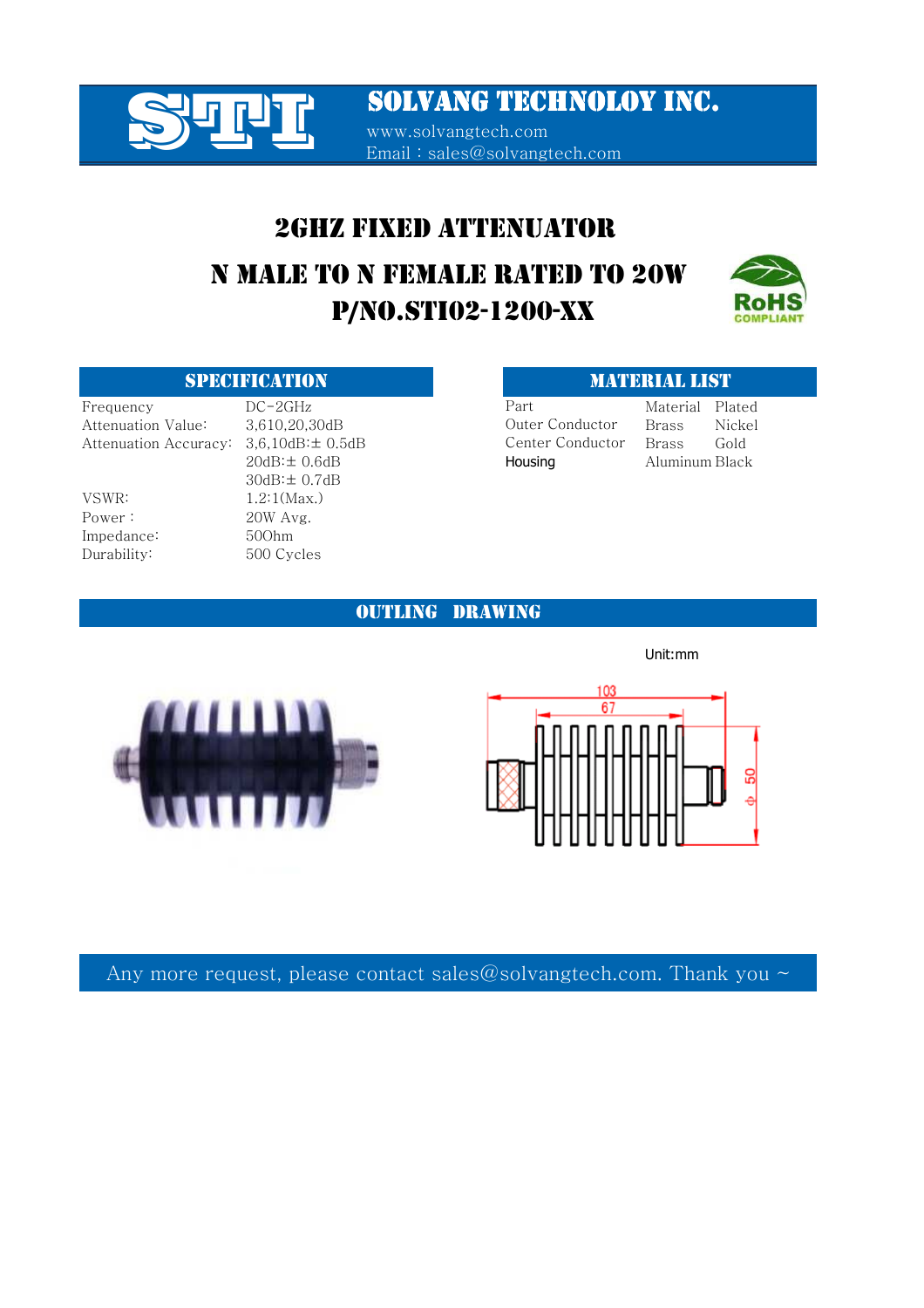

## 2GHZ FIXED ATTENUATOR

# P/NO.STI02-1200-XX N MALE TO N FEMALE RATED TO 20W



Frequency DC-2GHz Part Material Plated Attenuation Value: 3,610,20,30dB Brass Outer Conductor Brass Nickel Attenuation Accuracy: 3,6,10dB:± 0.5dB Brass Gold

VSWR: 1.2:1(Max.) Power : 20W Avg. Impedance: 50Ohm Durability: 500 Cycles

20dB:± 0.6dB Housing Aluminum Black 30dB:± 0.7dB

### SPECIFICATION MATERIAL LIST

Part Outer Conductor Center Conductor

## OUTLING DRAWING



103 67

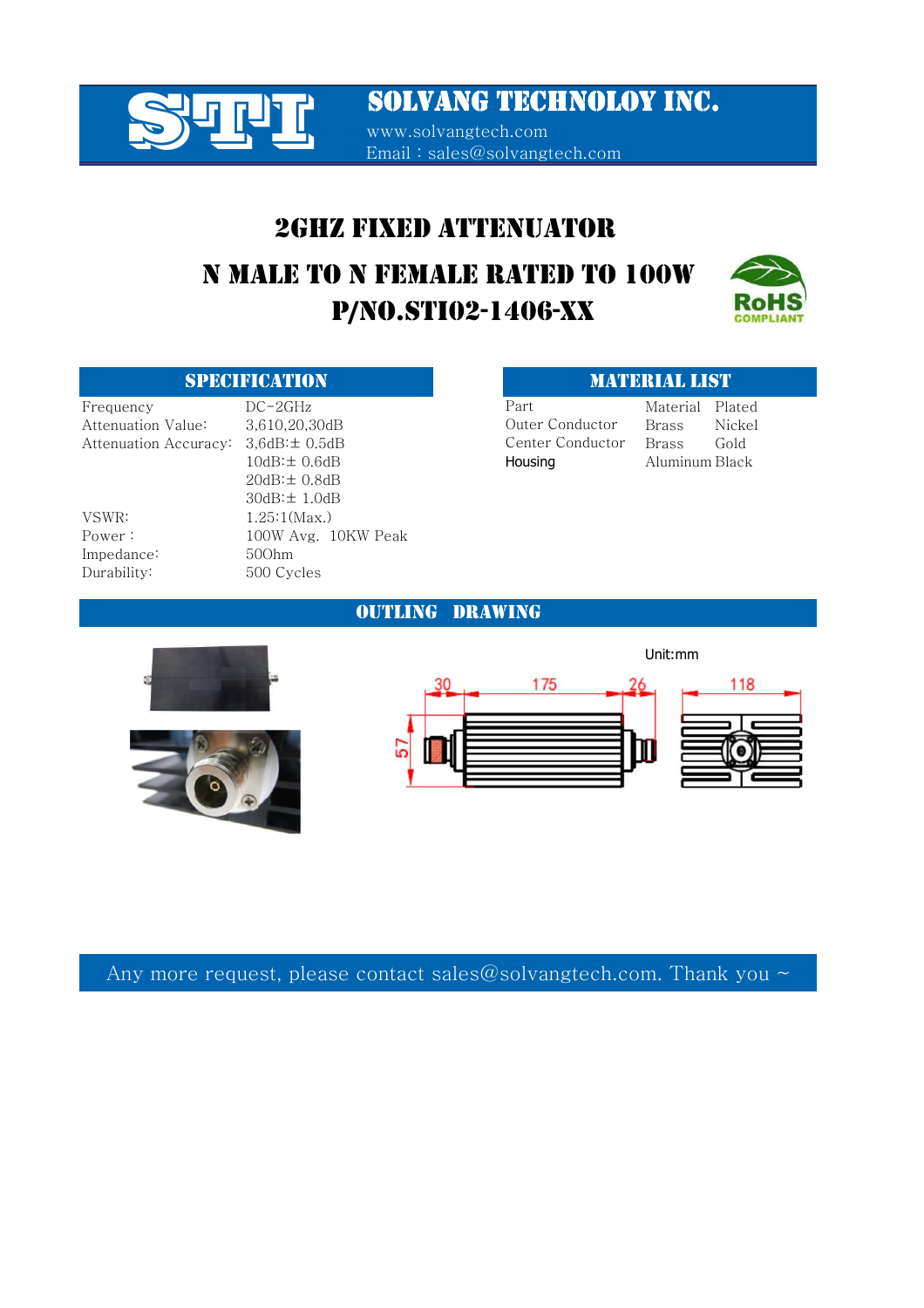

www.solvangtech.com Email : sales@solvangtech.com

## 2GHZ FIXED ATTENUATOR

# P/NO.STI02-1406-XX N MALE TO N FEMALE RATED TO 100W



Frequency DC-2GHz Part Material Plated

Impedance: 50Ohm

Attenuation Value: 3.610.20.30dB Brass Nickel Attenuation Accuracy: 3,6dB: $\pm$  0.5dB 601 Center Conductor Brass Gold 10dB: $\pm$  0.6dB **Housing** Aluminum Black 20dB:± 0.8dB 30dB:± 1.0dB VSWR: 1.25:1(Max.) Power : 100W Avg. 10KW Peak Durability: 500 Cycles

### SPECIFICATION **MATERIAL LIST**

Outer Conductor Center Conductor Part





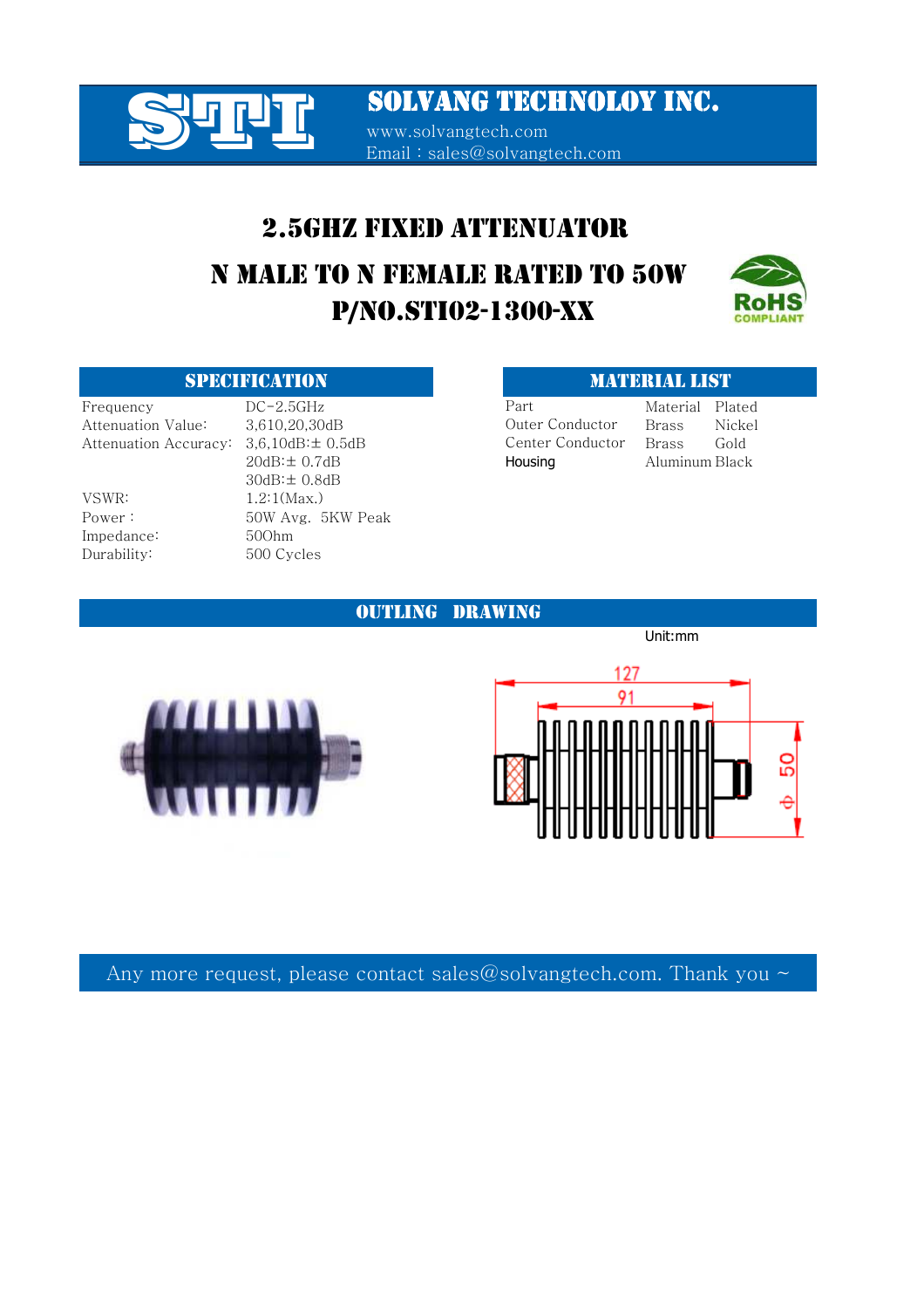

www.solvangtech.com Email : sales@solvangtech.com

## 2.5GHZ FIXED ATTENUATOR

# P/NO.STI02-1300-XX N MALE TO N FEMALE RATED TO 50W



## SPECIFICATION **MATERIAL LIST**

Impedance: 50Ohm Durability: 500 Cycles

Frequency DC-2.5GHz Part Material Plated Attenuation Value: 3.610.20.30dB Brass Nickel Attenuation Accuracy: 3,6,10dB: ± 0.5dB Genter Conductor Brass Gold 20dB: $\pm$  0.7dB **Housing** Aluminum Black 30dB:± 0.8dB VSWR: 1.2:1(Max.) Power : 50W Avg. 5KW Peak

Outer Conductor Center Conductor Part

OUTLING DRAWING





Unit:mm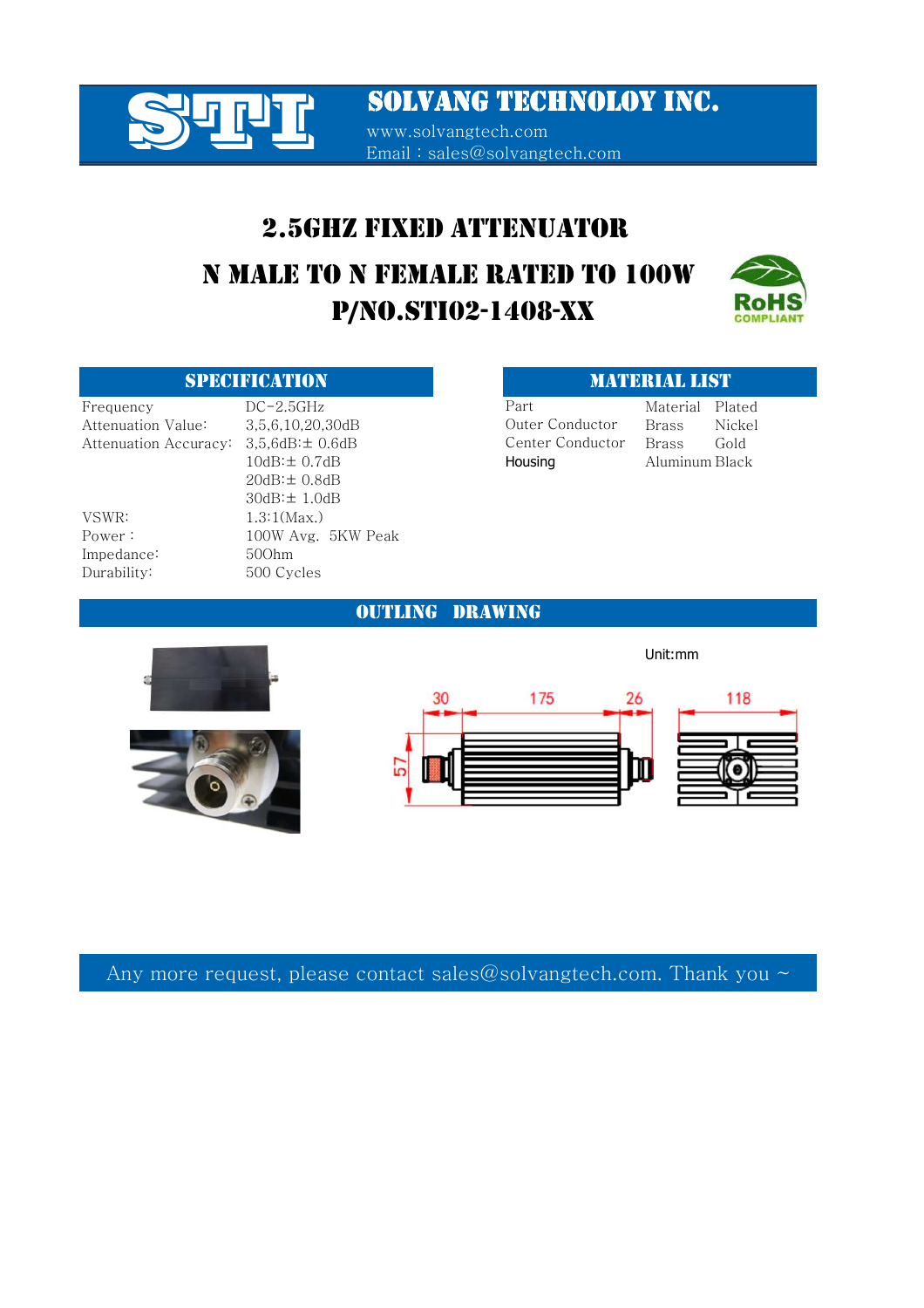

Email : sales@solvangtech.com

## 2.5GHZ FIXED ATTENUATOR

# P/NO.STI02-1408-XX N MALE TO N FEMALE RATED TO 100W



Frequency DC-2.5GHz Part Material Plated Attenuation Value: 3,5,6,10,20,30dB Brass Nickel Attenuation Accuracy:  $3.5.6dB \pm 0.6dB$  Center Conductor Brass Gold VSWR: 1.3:1(Max.)

10dB: ± 0.7dB **Housing** Aluminum Black 20dB:± 0.8dB 30dB:± 1.0dB Power : 100W Avg. 5KW Peak Impedance: 50Ohm Durability: 500 Cycles

### SPECIFICATION MATERIAL LIST

Part Outer Conductor Center Conductor

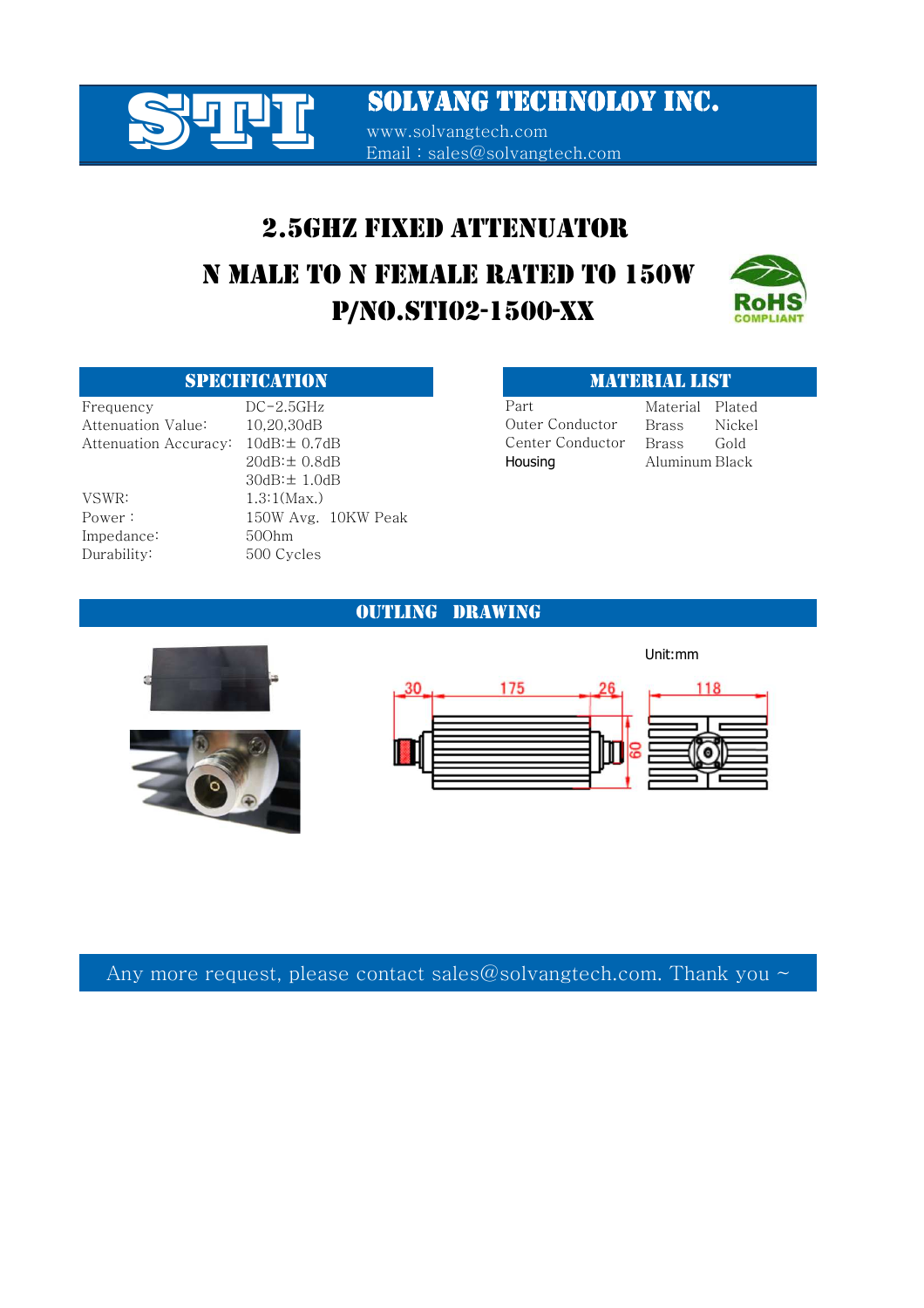

www.solvangtech.com Email : sales@solvangtech.com

## 2.5GHZ FIXED ATTENUATOR

# P/NO.STI02-1500-XX N MALE TO N FEMALE RATED TO 150W



## SPECIFICATION **MATERIAL LIST**

VSWR: 1.3:1(Max.) Impedance: 50Ohm Durability: 500 Cycles

Frequency DC-2.5GHz Part Material Plated Attenuation Value: 10.20.30dB Brass Nickel Attenuation Accuracy:  $10dB:± 0.7dB$  Center Conductor Brass Gold 20dB:± 0.8dB Housing Aluminum Black 30dB:± 1.0dB Power: 150W Avg. 10KW Peak

Part Outer Conductor Center Conductor